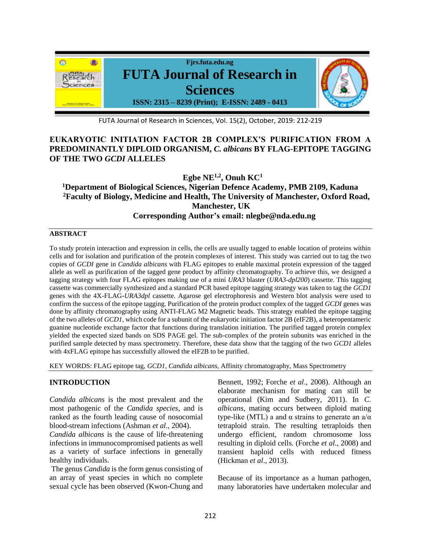

FUTA Journal of Research in Sciences, Vol. 15(2), October, 2019: 212-219

# **EUKARYOTIC INITIATION FACTOR 2B COMPLEX'S PURIFICATION FROM A PREDOMINANTLY DIPLOID ORGANISM,** *C. albicans* **BY FLAG-EPITOPE TAGGING OF THE TWO** *GCDI* **ALLELES**

**Egbe NE1,2, Onuh KC<sup>1</sup>**

**<sup>1</sup>Department of Biological Sciences, Nigerian Defence Academy, PMB 2109, Kaduna <sup>2</sup>Faculty of Biology, Medicine and Health, The University of Manchester, Oxford Road, Manchester, UK Corresponding Author's email: nlegbe@nda.edu.ng**

### **ABSTRACT**

To study protein interaction and expression in cells, the cells are usually tagged to enable location of proteins within cells and for isolation and purification of the protein complexes of interest. This study was carried out to tag the two copies of *GCDI* gene in *Candida albicans* with FLAG epitopes to enable maximal protein expression of the tagged allele as well as purification of the tagged gene product by affinity chromatography. To achieve this, we designed a tagging strategy with four FLAG epitopes making use of a mini *URA3* blaster (*URA3-dpl200*) cassette. This tagging cassette was commercially synthesized and a standard PCR based epitope tagging strategy was taken to tag the *GCD1* genes with the 4X-FLAG-*URA3dpl* cassette. Agarose gel electrophoresis and Western blot analysis were used to confirm the success of the epitope tagging. Purification of the protein product complex of the tagged *GCDI* genes was done by affinity chromatography using ANTI-FLAG M2 Magnetic beads. This strategy enabled the epitope tagging of the two alleles of *GCD1*, which code for a subunit of the eukaryotic initiation factor 2B (eIF2B), a heteropentameric guanine nucleotide exchange factor that functions during translation initiation. The purified tagged protein complex yielded the expected sized bands on SDS PAGE gel. The sub-complex of the protein subunits was enriched in the purified sample detected by mass spectrometry*.* Therefore, these data show that the tagging of the two *GCD1* alleles with 4xFLAG epitope has successfully allowed the eIF2B to be purified.

KEY WORDS: FLAG epitope tag, *GCD1, Candida albicans*, Affinity chromatography, Mass Spectrometry

## **INTRODUCTION**

*Candida albicans* is the most prevalent and the most pathogenic of the *Candida species*, and is ranked as the fourth leading cause of nosocomial blood-stream infections (Ashman *et al*., 2004).

*Candida albicans* is the cause of life-threatening infections in immunocompromised patients as well as a variety of surface infections in generally healthy individuals.

The genus *Candida* is the form genus consisting of an array of yeast species in which no complete sexual cycle has been observed (Kwon-Chung and Bennett, 1992; Forche *et al*., 2008). Although an elaborate mechanism for mating can still be operational (Kim and Sudbery, 2011). In *C. albicans*, mating occurs between diploid mating type-like (MTL) a and α strains to generate an a/α tetraploid strain. The resulting tetraploids then undergo efficient, random chromosome loss resulting in diploid cells. (Forche *et al*., 2008) and transient haploid cells with reduced fitness (Hickman *et al*., 2013).

Because of its importance as a human pathogen, many laboratories have undertaken molecular and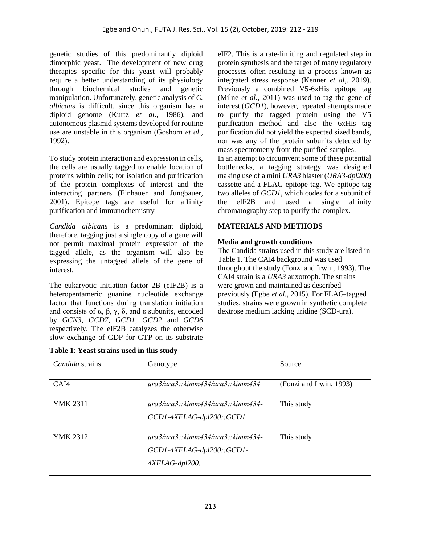genetic studies of this predominantly diploid dimorphic yeast. The development of new drug therapies specific for this yeast will probably require a better understanding of its physiology through biochemical studies and genetic manipulation. Unfortunately, genetic analysis of *C. albicans* is difficult, since this organism has a diploid genome (Kurtz *et al*., 1986), and autonomous plasmid systems developed for routine use are unstable in this organism (Goshorn *et al*., 1992).

To study protein interaction and expression in cells, the cells are usually tagged to enable location of proteins within cells; for isolation and purification of the protein complexes of interest and the interacting partners (Einhauer and Jungbauer, 2001). Epitope tags are useful for affinity purification and immunochemistry

*Candida albicans* is a predominant diploid, therefore, tagging just a single copy of a gene will not permit maximal protein expression of the tagged allele, as the organism will also be expressing the untagged allele of the gene of interest.

The eukaryotic initiation factor 2B (eIF2B) is a heteropentameric guanine nucleotide exchange factor that functions during translation initiation and consists of  $\alpha$ ,  $\beta$ ,  $\gamma$ ,  $\delta$ , and ε subunits, encoded by *GCN3, GCD7, GCD1, GCD2* and *GCD6* respectively. The eIF2B catalyzes the otherwise slow exchange of GDP for GTP on its substrate

**Table 1**: **Yeast strains used in this study**

eIF2. This is a rate-limiting and regulated step in protein synthesis and the target of many regulatory processes often resulting in a process known as integrated stress response (Kenner *et al*,. 2019). Previously a combined V5-6xHis epitope tag (Milne *et al.,* 2011) was used to tag the gene of interest (*GCD1*), however, repeated attempts made to purify the tagged protein using the V5 purification method and also the 6xHis tag purification did not yield the expected sized bands, nor was any of the protein subunits detected by mass spectrometry from the purified samples. In an attempt to circumvent some of these potential bottlenecks, a tagging strategy was designed making use of a mini *URA3* blaster (*URA3-dpl200*) cassette and a FLAG epitope tag*.* We epitope tag two alleles of *GCD1*, which codes for a subunit of

the eIF2B and used a single affinity

# **MATERIALS AND METHODS**

chromatography step to purify the complex.

# **Media and growth conditions**

The Candida strains used in this study are listed in Table 1. The CAI4 background was used throughout the study (Fonzi and Irwin, 1993). The CAI4 strain is a *URA3* auxotroph. The strains were grown and maintained as described previously (Egbe *et al.*, 2015). For FLAG-tagged studies, strains were grown in synthetic complete dextrose medium lacking uridine (SCD-ura).

| Candida strains | Genotype                                                   | Source                  |
|-----------------|------------------------------------------------------------|-------------------------|
|                 |                                                            |                         |
| CAI4            | $ura3/ura3$ :: $\lambda$ imm434/ura3:: $\lambda$ imm434    | (Fonzi and Irwin, 1993) |
| <b>YMK 2311</b> | $ura3/ura3$ : $\lambda$ imm434/ $ura3$ : $\lambda$ imm434- | This study              |
|                 | GCD1-4XFLAG-dpl200::GCD1                                   |                         |
| <b>YMK 2312</b> | $ura3/ura3$ ; $\lambda$ imm434/ $ura3$ ; $\lambda$ imm434- | This study              |
|                 | GCD1-4XFLAG-dpl200::GCD1-                                  |                         |
|                 | 4XFLAG-dpl200.                                             |                         |
|                 |                                                            |                         |

213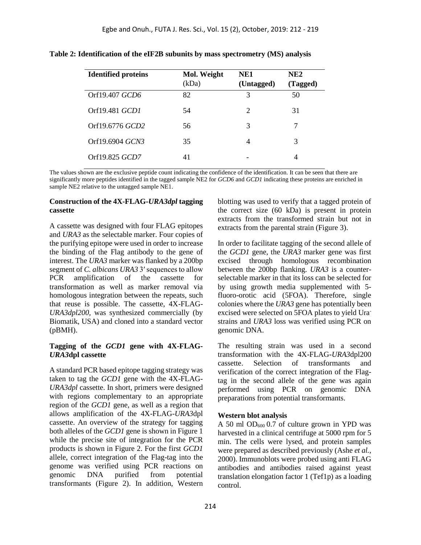| <b>Identified proteins</b> | Mol. Weight | NE1        | NE <sub>2</sub> |
|----------------------------|-------------|------------|-----------------|
|                            | (kDa)       | (Untagged) | (Tagged)        |
| Orf19.407 GCD6             | 82          | 3          | 50              |
| Orf19.481 <i>GCD1</i>      | 54          | 2          | 31              |
| Orf19.6776 GCD2            | 56          | 3          | 7               |
| Orf19.6904 GCN3            | 35          | 4          | 3               |
| Orf19.825 <i>GCD7</i>      | 41          |            | 4               |

**Table 2: Identification of the eIF2B subunits by mass spectrometry (MS) analysis**

The values shown are the exclusive peptide count indicating the confidence of the identification. It can be seen that there are significantly more peptides identified in the tagged sample NE2 for *GCD6* and *GCD1* indicating these proteins are enriched in sample NE2 relative to the untagged sample NE1.

#### **Construction of the 4X-FLAG-***URA3dpl* **tagging cassette**

A cassette was designed with four FLAG epitopes and *URA3* as the selectable marker. Four copies of the purifying epitope were used in order to increase the binding of the Flag antibody to the gene of interest. The *URA3* marker was flanked by a 200bp segment of *C. albicans URA3* 3′ sequences to allow PCR amplification of the cassette for transformation as well as marker removal via homologous integration between the repeats, such that reuse is possible. The cassette, 4X-FLAG-*URA3dpl200*, was synthesized commercially (by Biomatik, USA) and cloned into a standard vector (pBMH).

#### **Tagging of the** *GCD1* **gene with 4X-FLAG-***URA3***dpl cassette**

A standard PCR based epitope tagging strategy was taken to tag the *GCD1* gene with the 4X-FLAG-*URA3dpl* cassette. In short, primers were designed with regions complementary to an appropriate region of the *GCD1* gene, as well as a region that allows amplification of the 4X-FLAG-*URA3*dpl cassette. An overview of the strategy for tagging both alleles of the *GCD1* gene is shown in Figure 1 while the precise site of integration for the PCR products is shown in Figure 2. For the first *GCD1* allele, correct integration of the Flag-tag into the genome was verified using PCR reactions on genomic DNA purified from potential transformants (Figure 2). In addition, Western blotting was used to verify that a tagged protein of the correct size (60 kDa) is present in protein extracts from the transformed strain but not in extracts from the parental strain (Figure 3).

In order to facilitate tagging of the second allele of the *GCD1* gene, the *URA3* marker gene was first excised through homologous recombination between the 200bp flanking. *URA3* is a counterselectable marker in that its loss can be selected for by using growth media supplemented with 5 fluoro-orotic acid (5FOA). Therefore, single colonies where the *URA3* gene has potentially been excised were selected on 5FOA plates to yield Urastrains and *URA3* loss was verified using PCR on genomic DNA.

The resulting strain was used in a second transformation with the 4X-FLAG-*URA3*dpl200 cassette. Selection of transformants and verification of the correct integration of the Flagtag in the second allele of the gene was again performed using PCR on genomic DNA preparations from potential transformants.

#### **Western blot analysis**

A 50 ml  $OD_{600}$  0.7 of culture grown in YPD was harvested in a clinical centrifuge at 5000 rpm for 5 min. The cells were lysed, and protein samples were prepared as described previously (Ashe *et al.*, 2000). Immunoblots were probed using anti FLAG antibodies and antibodies raised against yeast translation elongation factor 1 (Tef1p) as a loading control.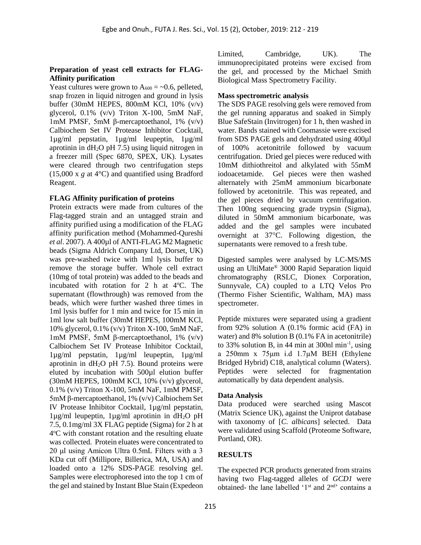### **Preparation of yeast cell extracts for FLAG-Affinity purification**

Yeast cultures were grown to  $A_{600} = -0.6$ , pelleted, snap frozen in liquid nitrogen and ground in lysis buffer (30mM HEPES, 800mM KCl, 10% (v/v) glycerol, 0.1% (v/v) Triton X-100, 5mM NaF, 1mM PMSF, 5mM β-mercaptoethanol, 1% (v/v) Calbiochem Set IV Protease Inhibitor Cocktail, 1µg/ml pepstatin, 1µg/ml leupeptin, 1µg/ml aprotinin in  $dH_2O$  pH 7.5) using liquid nitrogen in a freezer mill (Spec 6870, SPEX, UK). Lysates were cleared through two centrifugation steps (15,000 x *g* at 4°C) and quantified using Bradford Reagent.

## **FLAG Affinity purification of proteins**

Protein extracts were made from cultures of the Flag-tagged strain and an untagged strain and affinity purified using a modification of the FLAG affinity purification method (Mohammed-Qureshi *et al*. 2007). A 400µl of ANTI-FLAG M2 Magnetic beads (Sigma Aldrich Company Ltd, Dorset, UK) was pre-washed twice with 1ml lysis buffer to remove the storage buffer. Whole cell extract (10mg of total protein) was added to the beads and incubated with rotation for 2 h at  $4^{\circ}$ C. The supernatant (flowthrough) was removed from the beads, which were further washed three times in 1ml lysis buffer for 1 min and twice for 15 min in 1ml low salt buffer (30mM HEPES, 100mM KCl, 10% glycerol, 0.1% (v/v) Triton X-100, 5mM NaF, 1mM PMSF, 5mM β-mercaptoethanol, 1% (v/v) Calbiochem Set IV Protease Inhibitor Cocktail, 1µg/ml pepstatin, 1µg/ml leupeptin, 1µg/ml aprotinin in  $dH_2O$  pH 7.5). Bound proteins were eluted by incubation with 500µl elution buffer (30mM HEPES, 100mM KCl, 10% (v/v) glycerol, 0.1% (v/v) Triton X-100, 5mM NaF, 1mM PMSF, 5mM β-mercaptoethanol, 1% (v/v) Calbiochem Set IV Protease Inhibitor Cocktail, 1µg/ml pepstatin,  $1\mu$ g/ml leupeptin,  $1\mu$ g/ml aprotinin in dH<sub>2</sub>O pH 7.5, 0.1mg/ml 3X FLAG peptide (Sigma) for 2 h at 4°C with constant rotation and the resulting eluate was collected. Protein eluates were concentrated to 20 μl using Amicon Ultra 0.5mL Filters with a 3 KDa cut off (Millipore, Billerica, MA, USA) and loaded onto a 12% SDS-PAGE resolving gel. Samples were electrophoresed into the top 1 cm of the gel and stained by Instant Blue Stain (Expedeon Limited, Cambridge, UK). The immunoprecipitated proteins were excised from the gel, and processed by the Michael Smith Biological Mass Spectrometry Facility.

## **Mass spectrometric analysis**

The SDS PAGE resolving gels were removed from the gel running apparatus and soaked in Simply Blue SafeStain (Invitrogen) for 1 h, then washed in water. Bands stained with Coomassie were excised from SDS PAGE gels and dehydrated using 400µl of 100% acetonitrile followed by vacuum centrifugation. Dried gel pieces were reduced with 10mM dithiothreitol and alkylated with 55mM iodoacetamide. Gel pieces were then washed alternately with 25mM ammonium bicarbonate followed by acetonitrile. This was repeated, and the gel pieces dried by vacuum centrifugation. Then 100ng sequencing grade trypsin (Sigma), diluted in 50mM ammonium bicarbonate, was added and the gel samples were incubated overnight at 37C. Following digestion, the supernatants were removed to a fresh tube.

Digested samples were analysed by LC-MS/MS using an UltiMate® 3000 Rapid Separation liquid chromatography (RSLC, Dionex Corporation, Sunnyvale, CA) coupled to a LTQ Velos Pro (Thermo Fisher Scientific, Waltham, MA) mass spectrometer.

Peptide mixtures were separated using a gradient from 92% solution A (0.1% formic acid (FA) in water) and 8% solution B (0.1% FA in acetonitrile) to 33% solution B, in 44 min at 300nl min<sup>-1</sup>, using a 250mm x 75μm i.d 1.7µM BEH (Ethylene Bridged Hybrid) C18, analytical column (Waters). Peptides were selected for fragmentation automatically by data dependent analysis.

## **Data Analysis**

Data produced were searched using Mascot (Matrix Science UK), against the Uniprot database with taxonomy of [*C. albicans*] selected. Data were validated using Scaffold (Proteome Software, Portland, OR).

## **RESULTS**

The expected PCR products generated from strains having two Flag-tagged alleles of *GCD1* were obtained- the lane labelled '1<sup>st</sup> and 2<sup>nd</sup>' contains a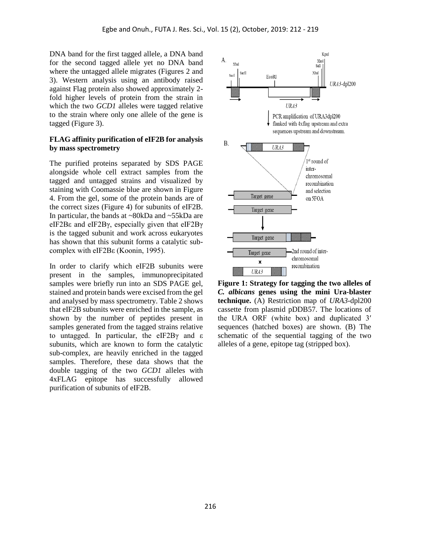DNA band for the first tagged allele, a DNA band for the second tagged allele yet no DNA band where the untagged allele migrates (Figures 2 and 3). Western analysis using an antibody raised against Flag protein also showed approximately 2 fold higher levels of protein from the strain in which the two *GCD1* alleles were tagged relative to the strain where only one allele of the gene is tagged (Figure 3).

#### **FLAG affinity purification of eIF2B for analysis by mass spectrometry**

The purified proteins separated by SDS PAGE alongside whole cell extract samples from the tagged and untagged strains and visualized by staining with Coomassie blue are shown in Figure 4. From the gel, some of the protein bands are of the correct sizes (Figure 4) for subunits of eIF2B. In particular, the bands at ~80kDa and ~55kDa are eIF2Bε and eIF2Bγ, especially given that eIF2Bγ is the tagged subunit and work across eukaryotes has shown that this subunit forms a catalytic subcomplex with eIF2Bε (Koonin, 1995).

In order to clarify which eIF2B subunits were present in the samples, immunoprecipitated samples were briefly run into an SDS PAGE gel, stained and protein bands were excised from the gel and analysed by mass spectrometry. Table 2 shows that eIF2B subunits were enriched in the sample, as shown by the number of peptides present in samples generated from the tagged strains relative to untagged. In particular, the eIF2Bγ and ε subunits, which are known to form the catalytic sub-complex, are heavily enriched in the tagged samples. Therefore, these data shows that the double tagging of the two *GCD1* alleles with 4xFLAG epitope has successfully allowed purification of subunits of eIF2B.



**Figure 1: Strategy for tagging the two alleles of**  *C. albicans* **genes using the mini Ura-blaster technique.** (A) Restriction map of *URA3-*dpl200 cassette from plasmid pDDB57. The locations of the URA ORF (white box) and duplicated 3′ sequences (hatched boxes) are shown. (B) The schematic of the sequential tagging of the two alleles of a gene, epitope tag (stripped box).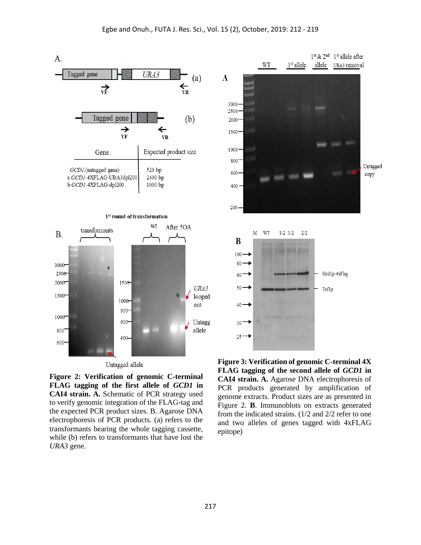

**Figure 2: Verification of genomic C-terminal FLAG tagging of the first allele of** *GCD1* **in CAI4 strain. A.** Schematic of PCR strategy used to verify genomic integration of the FLAG-tag and the expected PCR product sizes. B. Agarose DNA electrophoresis of PCR products. (a) refers to the transformants bearing the whole tagging cassette, while (b) refers to transformants that have lost the *URA3* gene.

**FLAG tagging of the second allele of** *GCD1* **in CAI4 strain. A.** Agarose DNA electrophoresis of PCR products generated by amplification of genome extracts. Product sizes are as presented in Figure 2. **B**. Immunoblots on extracts generated from the indicated strains. (1/2 and 2/2 refer to one and two alleles of genes tagged with 4xFLAG epitope)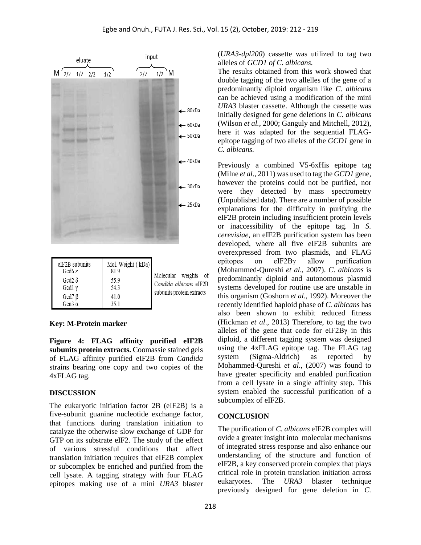

| elf2B subunits   | Mol. weight ( kDa) I |                           |
|------------------|----------------------|---------------------------|
| Gcd $6 \epsilon$ | 81.9                 | Molecular weights of      |
| Gcd2 $\delta$    | 55.9                 | Candida albicans eIF2B    |
| Gcd1 $\gamma$    | 54.3                 | subunits protein extracts |
| $Gcd7\beta$      | 41.0                 |                           |
| Gcn3 $\alpha$    | 35.1                 |                           |

### **Key: M-Protein marker**

**Figure 4: FLAG affinity purified eIF2B subunits protein extracts.** Coomassie stained gels of FLAG affinity purified eIF2B from *Candida* strains bearing one copy and two copies of the 4xFLAG tag.

#### **DISCUSSION**

The eukaryotic initiation factor 2B (eIF2B) is a five-subunit guanine nucleotide exchange factor, that functions during translation initiation to catalyze the otherwise slow exchange of GDP for GTP on its substrate eIF2. The study of the effect of various stressful conditions that affect translation initiation requires that eIF2B complex or subcomplex be enriched and purified from the cell lysate. A tagging strategy with four FLAG epitopes making use of a mini *URA3* blaster (*URA3-dpl200*) cassette was utilized to tag two alleles of *GCD1 of C. albicans.*

The results obtained from this work showed that double tagging of the two allelles of the gene of a predominantly diploid organism like *C. albicans* can be achieved using a modification of the mini *URA3* blaster cassette. Although the cassette was initially designed for gene deletions in *C. albicans*  (Wilson *et al.,* 2000; Ganguly and Mitchell, 2012)*,* here it was adapted for the sequential FLAGepitope tagging of two alleles of the *GCD1* gene in *C. albicans.* 

Previously a combined V5-6xHis epitope tag (Milne *et al*., 2011) was used to tag the *GCD1* gene, however the proteins could not be purified, nor were they detected by mass spectrometry (Unpublished data). There are a number of possible explanations for the difficulty in purifying the eIF2B protein including insufficient protein levels or inaccessibility of the epitope tag. In *S. cerevisiae*, an eIF2B purification system has been developed, where all five eIF2B subunits are overexpressed from two plasmids, and FLAG epitopes on eIF2Bγ allow purification (Mohammed-Qureshi *et al*., 2007). *C. albicans* is predominantly diploid and autonomous plasmid systems developed for routine use are unstable in this organism (Goshorn *et al*., 1992). Moreover the recently identified haploid phase of *C. albicans* has also been shown to exhibit reduced fitness (Hickman *et al*., 2013) Therefore, to tag the two alleles of the gene that code for eIF2Bγ in this diploid, a different tagging system was designed using the 4xFLAG epitope tag. The FLAG tag system (Sigma-Aldrich) as reported by Mohammed-Qureshi *et al*., (2007) was found to have greater specificity and enabled purification from a cell lysate in a single affinity step. This system enabled the successful purification of a subcomplex of eIF2B.

#### **CONCLUSION**

The purification of *C. albicans* eIF2B complex will ovide a greater insight into molecular mechanisms of integrated stress response and also enhance our understanding of the structure and function of eIF2B, a key conserved protein complex that plays critical role in protein translation initiation across eukaryotes. The *URA3* blaster technique previously designed for gene deletion in *C.*